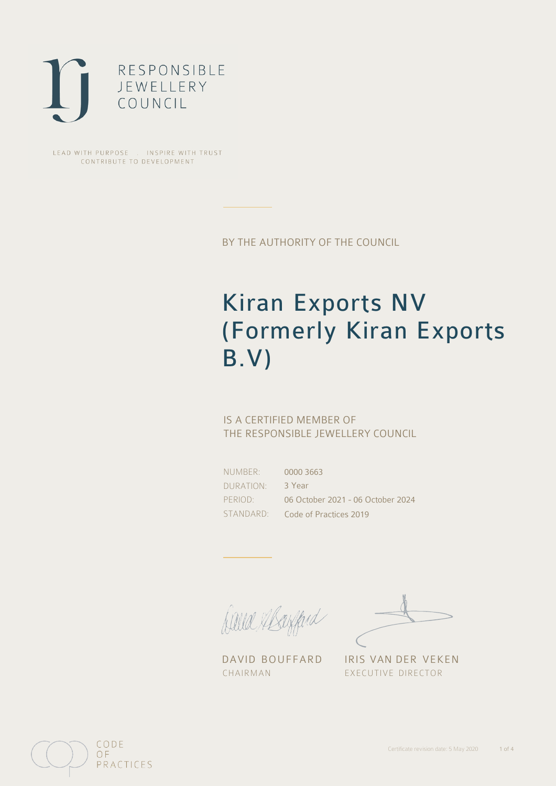

LEAD WITH PURPOSE . INSPIRE WITH TRUST CONTRIBUTE TO DEVELOPMENT

BY THE AUTHORITY OF THE COUNCIL

# Kiran Exports NV (Formerly Kiran Exports B.V)

## IS A CERTIFIED MEMBER OF THE RESPONSIBLE JEWELLERY COUNCIL

NUMBER: DURATION: PERIOD:

STANDARD: Code of Practices 2019 0000 3663 3 Year 06 October 2021 - 06 October 2024

fielle Elsefferd

CHAIRMAN EXECUTIVE DIRECTOR

DAVID BOUFFARD IRIS VAN DER VEKEN

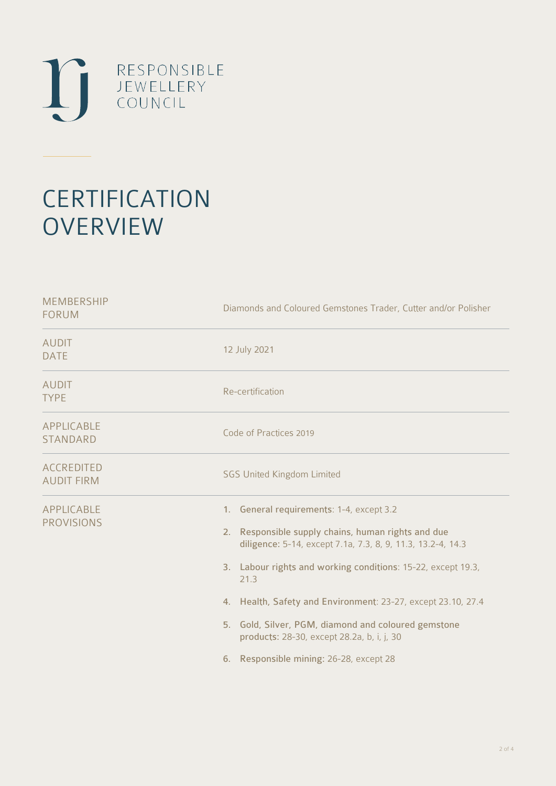

# **CERTIFICATION OVERVIEW**

| Diamonds and Coloured Gemstones Trader, Cutter and/or Polisher                                                                                                                                                                                                                                                                                                                                                                                           |  |  |
|----------------------------------------------------------------------------------------------------------------------------------------------------------------------------------------------------------------------------------------------------------------------------------------------------------------------------------------------------------------------------------------------------------------------------------------------------------|--|--|
| 12 July 2021                                                                                                                                                                                                                                                                                                                                                                                                                                             |  |  |
| Re-certification                                                                                                                                                                                                                                                                                                                                                                                                                                         |  |  |
| Code of Practices 2019                                                                                                                                                                                                                                                                                                                                                                                                                                   |  |  |
| <b>SGS United Kingdom Limited</b>                                                                                                                                                                                                                                                                                                                                                                                                                        |  |  |
| 1. General requirements: 1-4, except 3.2<br>2. Responsible supply chains, human rights and due<br>diligence: 5-14, except 7.1a, 7.3, 8, 9, 11.3, 13.2-4, 14.3<br>3. Labour rights and working conditions: 15-22, except 19.3,<br>21.3<br>4. Health, Safety and Environment: 23-27, except 23.10, 27.4<br>5. Gold, Silver, PGM, diamond and coloured gemstone<br>products: 28-30, except 28.2a, b, i, j, 30<br>Responsible mining: 26-28, except 28<br>6. |  |  |
|                                                                                                                                                                                                                                                                                                                                                                                                                                                          |  |  |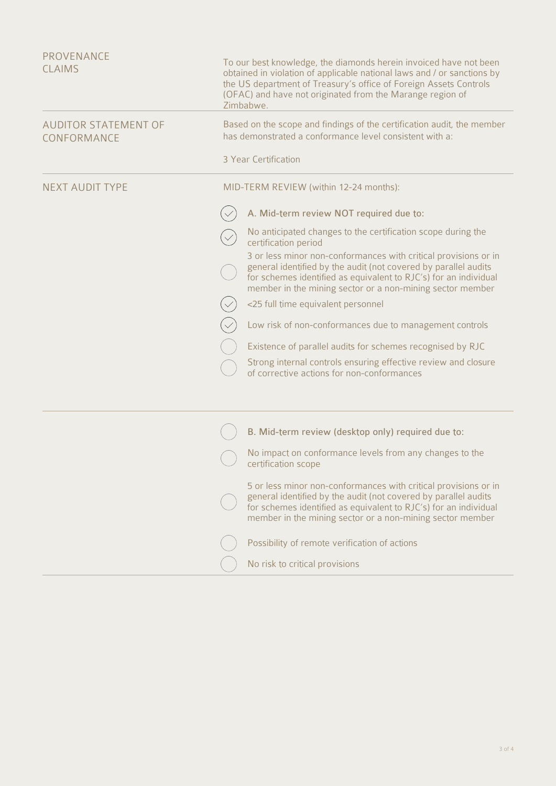| <b>PROVENANCE</b><br><b>CLAIMS</b>         | To our best knowledge, the diamonds herein invoiced have not been<br>obtained in violation of applicable national laws and / or sanctions by<br>the US department of Treasury's office of Foreign Assets Controls<br>(OFAC) and have not originated from the Marange region of<br>Zimbabwe. |                                                                                                                                                                                                                                                                     |  |
|--------------------------------------------|---------------------------------------------------------------------------------------------------------------------------------------------------------------------------------------------------------------------------------------------------------------------------------------------|---------------------------------------------------------------------------------------------------------------------------------------------------------------------------------------------------------------------------------------------------------------------|--|
| <b>AUDITOR STATEMENT OF</b><br>CONFORMANCE |                                                                                                                                                                                                                                                                                             | Based on the scope and findings of the certification audit, the member<br>has demonstrated a conformance level consistent with a:                                                                                                                                   |  |
|                                            |                                                                                                                                                                                                                                                                                             | 3 Year Certification                                                                                                                                                                                                                                                |  |
| <b>NEXT AUDIT TYPE</b>                     | MID-TERM REVIEW (within 12-24 months):                                                                                                                                                                                                                                                      |                                                                                                                                                                                                                                                                     |  |
|                                            |                                                                                                                                                                                                                                                                                             | A. Mid-term review NOT required due to:                                                                                                                                                                                                                             |  |
|                                            |                                                                                                                                                                                                                                                                                             | No anticipated changes to the certification scope during the<br>certification period                                                                                                                                                                                |  |
|                                            |                                                                                                                                                                                                                                                                                             | 3 or less minor non-conformances with critical provisions or in<br>general identified by the audit (not covered by parallel audits<br>for schemes identified as equivalent to RJC's) for an individual<br>member in the mining sector or a non-mining sector member |  |
|                                            |                                                                                                                                                                                                                                                                                             | <25 full time equivalent personnel                                                                                                                                                                                                                                  |  |
|                                            |                                                                                                                                                                                                                                                                                             | Low risk of non-conformances due to management controls                                                                                                                                                                                                             |  |
|                                            |                                                                                                                                                                                                                                                                                             | Existence of parallel audits for schemes recognised by RJC                                                                                                                                                                                                          |  |
|                                            |                                                                                                                                                                                                                                                                                             | Strong internal controls ensuring effective review and closure<br>of corrective actions for non-conformances                                                                                                                                                        |  |
|                                            |                                                                                                                                                                                                                                                                                             |                                                                                                                                                                                                                                                                     |  |
|                                            |                                                                                                                                                                                                                                                                                             | B. Mid-term review (desktop only) required due to:                                                                                                                                                                                                                  |  |
|                                            |                                                                                                                                                                                                                                                                                             | No impact on conformance levels from any changes to the<br>certification scope                                                                                                                                                                                      |  |
|                                            |                                                                                                                                                                                                                                                                                             | 5 or less minor non-conformances with critical provisions or in<br>general identified by the audit (not covered by parallel audits<br>for schemes identified as equivalent to RJC's) for an individual<br>member in the mining sector or a non-mining sector member |  |
|                                            |                                                                                                                                                                                                                                                                                             | Possibility of remote verification of actions                                                                                                                                                                                                                       |  |
|                                            |                                                                                                                                                                                                                                                                                             | No risk to critical provisions                                                                                                                                                                                                                                      |  |